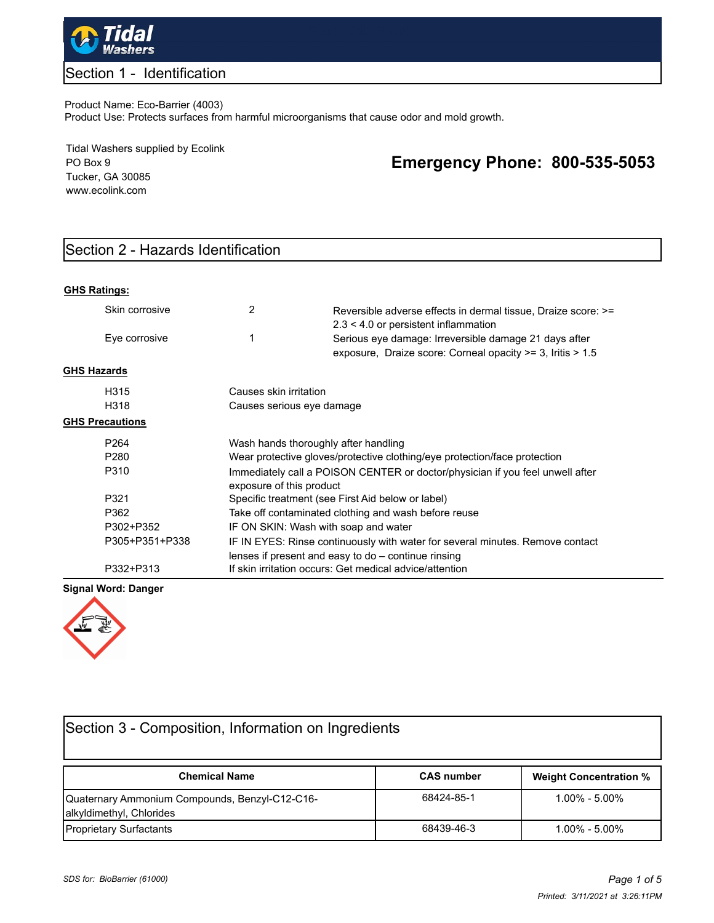

### Section 1 - Identification

#### Product Name: Eco-Barrier (4003)

Product Use: Protects surfaces from harmful microorganisms that cause odor and mold growth.

Tidal Washers supplied by Ecolink PO Box 9 Tucker, GA 30085 www.ecolink.com

# **Emergency Phone: 800-535-5053**

# Section 2 - Hazards Identification

| <b>GHS Ratings:</b> |  |
|---------------------|--|
|                     |  |

|                    | Skin corrosive         | 2                                                                                                         | Reversible adverse effects in dermal tissue, Draize score: >=<br>$2.3 < 4.0$ or persistent inflammation                              |  |  |  |
|--------------------|------------------------|-----------------------------------------------------------------------------------------------------------|--------------------------------------------------------------------------------------------------------------------------------------|--|--|--|
|                    | Eye corrosive          | 1                                                                                                         | Serious eye damage: Irreversible damage 21 days after<br>exposure, Draize score: Corneal opacity >= 3, Iritis > 1.5                  |  |  |  |
| <b>GHS Hazards</b> |                        |                                                                                                           |                                                                                                                                      |  |  |  |
|                    | H315                   | Causes skin irritation                                                                                    |                                                                                                                                      |  |  |  |
|                    | H318                   | Causes serious eye damage                                                                                 |                                                                                                                                      |  |  |  |
|                    | <b>GHS Precautions</b> |                                                                                                           |                                                                                                                                      |  |  |  |
|                    | P <sub>264</sub>       | Wash hands thoroughly after handling                                                                      |                                                                                                                                      |  |  |  |
|                    | P <sub>280</sub>       | Wear protective gloves/protective clothing/eye protection/face protection                                 |                                                                                                                                      |  |  |  |
|                    | P310                   | Immediately call a POISON CENTER or doctor/physician if you feel unwell after<br>exposure of this product |                                                                                                                                      |  |  |  |
|                    | P321                   | Specific treatment (see First Aid below or label)                                                         |                                                                                                                                      |  |  |  |
|                    | P362                   | Take off contaminated clothing and wash before reuse                                                      |                                                                                                                                      |  |  |  |
|                    | P302+P352              | IF ON SKIN: Wash with soap and water                                                                      |                                                                                                                                      |  |  |  |
|                    | P305+P351+P338         |                                                                                                           | IF IN EYES: Rinse continuously with water for several minutes. Remove contact<br>lenses if present and easy to do - continue rinsing |  |  |  |
|                    | P332+P313              |                                                                                                           | If skin irritation occurs: Get medical advice/attention                                                                              |  |  |  |

#### **Signal Word: Danger**



| Section 3 - Composition, Information on Ingredients                        |                   |                               |  |  |  |
|----------------------------------------------------------------------------|-------------------|-------------------------------|--|--|--|
| <b>Chemical Name</b>                                                       | <b>CAS number</b> | <b>Weight Concentration %</b> |  |  |  |
| Quaternary Ammonium Compounds, Benzyl-C12-C16-<br>alkyldimethyl, Chlorides | 68424-85-1        | $1.00\% - 5.00\%$             |  |  |  |
| <b>Proprietary Surfactants</b>                                             | 68439-46-3        | $1.00\% - 5.00\%$             |  |  |  |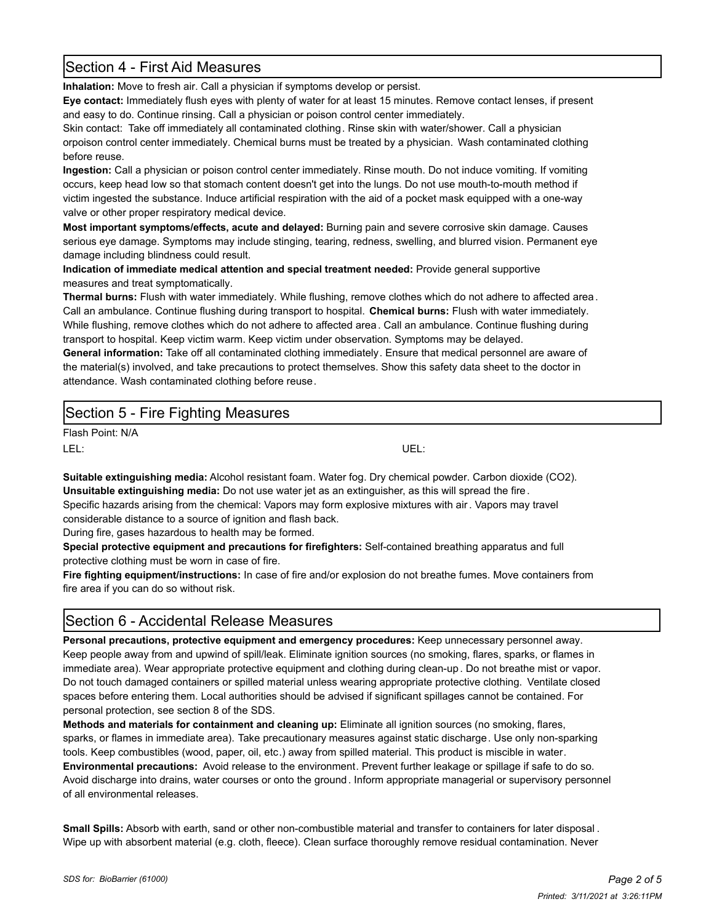## Section 4 - First Aid Measures

**Inhalation:** Move to fresh air. Call a physician if symptoms develop or persist.

**Eye contact:** Immediately flush eyes with plenty of water for at least 15 minutes. Remove contact lenses, if present and easy to do. Continue rinsing. Call a physician or poison control center immediately.

Skin contact: Take off immediately all contaminated clothing. Rinse skin with water/shower. Call a physician orpoison control center immediately. Chemical burns must be treated by a physician. Wash contaminated clothing before reuse.

**Ingestion:** Call a physician or poison control center immediately. Rinse mouth. Do not induce vomiting. If vomiting occurs, keep head low so that stomach content doesn't get into the lungs. Do not use mouth-to-mouth method if victim ingested the substance. Induce artificial respiration with the aid of a pocket mask equipped with a one-way valve or other proper respiratory medical device.

**Most important symptoms/effects, acute and delayed:** Burning pain and severe corrosive skin damage. Causes serious eye damage. Symptoms may include stinging, tearing, redness, swelling, and blurred vision. Permanent eye damage including blindness could result.

**Indication of immediate medical attention and special treatment needed:** Provide general supportive measures and treat symptomatically.

**Thermal burns:** Flush with water immediately. While flushing, remove clothes which do not adhere to affected area. Call an ambulance. Continue flushing during transport to hospital. **Chemical burns:** Flush with water immediately. While flushing, remove clothes which do not adhere to affected area. Call an ambulance. Continue flushing during transport to hospital. Keep victim warm. Keep victim under observation. Symptoms may be delayed.

**General information:** Take off all contaminated clothing immediately. Ensure that medical personnel are aware of the material(s) involved, and take precautions to protect themselves. Show this safety data sheet to the doctor in attendance. Wash contaminated clothing before reuse.

## Section 5 - Fire Fighting Measures

Flash Point: N/A LEL: UEL:

**Suitable extinguishing media:** Alcohol resistant foam. Water fog. Dry chemical powder. Carbon dioxide (CO2). **Unsuitable extinguishing media:** Do not use water jet as an extinguisher, as this will spread the fire. Specific hazards arising from the chemical: Vapors may form explosive mixtures with air. Vapors may travel considerable distance to a source of ignition and flash back.

During fire, gases hazardous to health may be formed.

**Special protective equipment and precautions for firefighters:** Self-contained breathing apparatus and full protective clothing must be worn in case of fire.

**Fire fighting equipment/instructions:** In case of fire and/or explosion do not breathe fumes. Move containers from fire area if you can do so without risk.

## Section 6 - Accidental Release Measures

**Personal precautions, protective equipment and emergency procedures:** Keep unnecessary personnel away. Keep people away from and upwind of spill/leak. Eliminate ignition sources (no smoking, flares, sparks, or flames in immediate area). Wear appropriate protective equipment and clothing during clean-up . Do not breathe mist or vapor. Do not touch damaged containers or spilled material unless wearing appropriate protective clothing. Ventilate closed spaces before entering them. Local authorities should be advised if significant spillages cannot be contained. For personal protection, see section 8 of the SDS.

**Methods and materials for containment and cleaning up:** Eliminate all ignition sources (no smoking, flares, sparks, or flames in immediate area). Take precautionary measures against static discharge. Use only non-sparking tools. Keep combustibles (wood, paper, oil, etc.) away from spilled material. This product is miscible in water. **Environmental precautions:** Avoid release to the environment. Prevent further leakage or spillage if safe to do so. Avoid discharge into drains, water courses or onto the ground. Inform appropriate managerial or supervisory personnel of all environmental releases.

**Small Spills:** Absorb with earth, sand or other non-combustible material and transfer to containers for later disposal . Wipe up with absorbent material (e.g. cloth, fleece). Clean surface thoroughly remove residual contamination. Never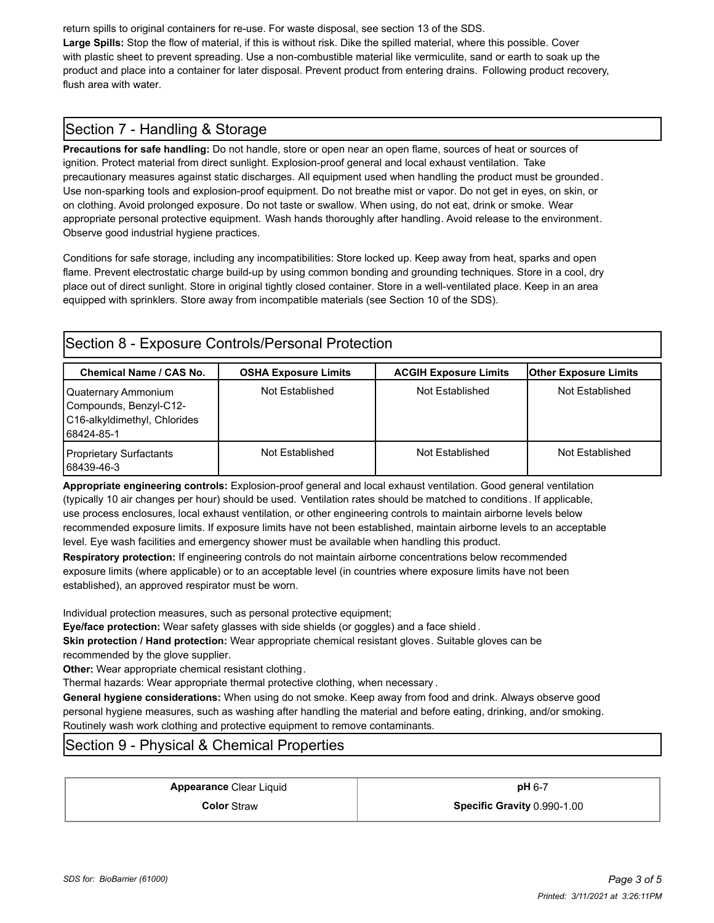return spills to original containers for re-use. For waste disposal, see section 13 of the SDS. **Large Spills:** Stop the flow of material, if this is without risk. Dike the spilled material, where this possible. Cover with plastic sheet to prevent spreading. Use a non-combustible material like vermiculite, sand or earth to soak up the product and place into a container for later disposal. Prevent product from entering drains. Following product recovery, flush area with water.

# Section 7 - Handling & Storage

**Precautions for safe handling:** Do not handle, store or open near an open flame, sources of heat or sources of ignition. Protect material from direct sunlight. Explosion-proof general and local exhaust ventilation. Take precautionary measures against static discharges. All equipment used when handling the product must be grounded. Use non-sparking tools and explosion-proof equipment. Do not breathe mist or vapor. Do not get in eyes, on skin, or on clothing. Avoid prolonged exposure. Do not taste or swallow. When using, do not eat, drink or smoke. Wear appropriate personal protective equipment. Wash hands thoroughly after handling. Avoid release to the environment. Observe good industrial hygiene practices.

Conditions for safe storage, including any incompatibilities: Store locked up. Keep away from heat, sparks and open flame. Prevent electrostatic charge build-up by using common bonding and grounding techniques. Store in a cool, dry place out of direct sunlight. Store in original tightly closed container. Store in a well-ventilated place. Keep in an area equipped with sprinklers. Store away from incompatible materials (see Section 10 of the SDS).

| Section 8 - Exposure Controls/Personal Protection                             |                             |                              |                              |  |  |
|-------------------------------------------------------------------------------|-----------------------------|------------------------------|------------------------------|--|--|
| <b>Chemical Name / CAS No.</b>                                                | <b>OSHA Exposure Limits</b> | <b>ACGIH Exposure Limits</b> | <b>Other Exposure Limits</b> |  |  |
| Quaternary Ammonium<br>Compounds, Benzyl-C12-<br>C16-alkyldimethyl, Chlorides | Not Established             | Not Established              | Not Established              |  |  |

Not Established Not Established Not Established Not Established

68439-46-3 **Appropriate engineering controls:** Explosion-proof general and local exhaust ventilation. Good general ventilation (typically 10 air changes per hour) should be used. Ventilation rates should be matched to conditions. If applicable, use process enclosures, local exhaust ventilation, or other engineering controls to maintain airborne levels below recommended exposure limits. If exposure limits have not been established, maintain airborne levels to an acceptable level. Eye wash facilities and emergency shower must be available when handling this product.

**Respiratory protection:** If engineering controls do not maintain airborne concentrations below recommended exposure limits (where applicable) or to an acceptable level (in countries where exposure limits have not been established), an approved respirator must be worn.

Individual protection measures, such as personal protective equipment;

**Eye/face protection:** Wear safety glasses with side shields (or goggles) and a face shield .

**Skin protection / Hand protection:** Wear appropriate chemical resistant gloves. Suitable gloves can be recommended by the glove supplier.

**Other:** Wear appropriate chemical resistant clothing.

Thermal hazards: Wear appropriate thermal protective clothing, when necessary .

**General hygiene considerations:** When using do not smoke. Keep away from food and drink. Always observe good personal hygiene measures, such as washing after handling the material and before eating, drinking, and/or smoking. Routinely wash work clothing and protective equipment to remove contaminants.

# Section 9 - Physical & Chemical Properties

**Appearance** Clear Liquid **and The Clear Appearance** Clear Liquid

**Color** Straw **Specific Gravity** 0.990-1.00

68424-85-1

Proprietary Surfactants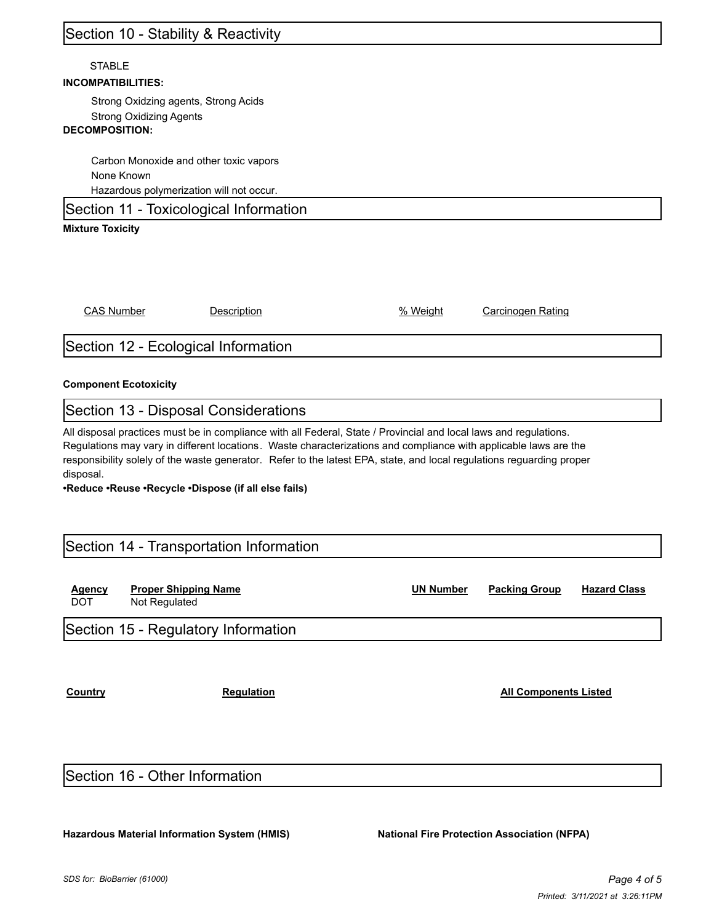# Section 10 - Stability & Reactivity

#### **STABLE**

#### **INCOMPATIBILITIES:**

Strong Oxidzing agents, Strong Acids Strong Oxidizing Agents

### **DECOMPOSITION:**

Carbon Monoxide and other toxic vapors None Known Hazardous polymerization will not occur.

Section 11 - Toxicological Information

#### **Mixture Toxicity**

CAS Number Description % Weight Carcinogen Rating

### Section 12 - Ecological Information

#### **Component Ecotoxicity**

#### Section 13 - Disposal Considerations

All disposal practices must be in compliance with all Federal, State / Provincial and local laws and regulations. Regulations may vary in different locations. Waste characterizations and compliance with applicable laws are the responsibility solely of the waste generator. Refer to the latest EPA, state, and local regulations reguarding proper disposal.

**•Reduce •Reuse •Recycle •Dispose (if all else fails)**

### Section 14 - Transportation Information

| <b>Agency</b><br><b>DOT</b> | <b>Proper Shipping Name</b><br>Not Regulated | <b>UN Number</b> | <b>Packing Group</b> | <b>Hazard Class</b> |
|-----------------------------|----------------------------------------------|------------------|----------------------|---------------------|
|                             | Section 15 - Regulatory Information          |                  |                      |                     |

**Country Country Regulation Regulation Regulation Regulation Regulation Regulation Regulation Regulation Regulation Regulation Regulation Regulation Regulation Regulation Regulation Regulation Regulation Regulation Regulat** 

### Section 16 - Other Information

**Hazardous Material Information System (HMIS) National Fire Protection Association (NFPA)**